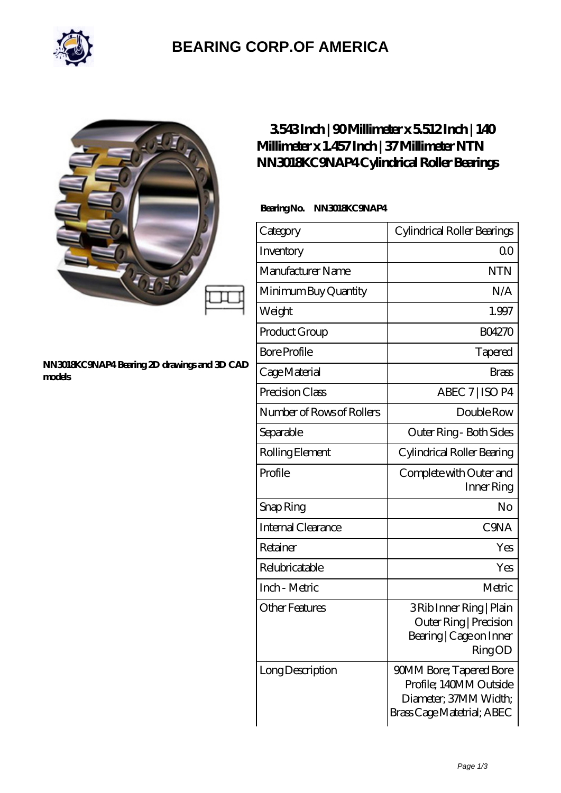

## **[BEARING CORP.OF AMERICA](https://bluemondayreview.com)**

#### **[NN3018KC9NAP4 Bearing 2D drawings and 3D CAD](https://bluemondayreview.com/pic-174964.html) [models](https://bluemondayreview.com/pic-174964.html)**

### **[3.543 Inch | 90 Millimeter x 5.512 Inch | 140](https://bluemondayreview.com/be-174964-ntn-nn3018kc9nap4-cylindrical-roller-bearings.html) [Millimeter x 1.457 Inch | 37 Millimeter NTN](https://bluemondayreview.com/be-174964-ntn-nn3018kc9nap4-cylindrical-roller-bearings.html) [NN3018KC9NAP4 Cylindrical Roller Bearings](https://bluemondayreview.com/be-174964-ntn-nn3018kc9nap4-cylindrical-roller-bearings.html)**

#### **Bearing No. NN3018KC9NAP4**

| Category                  | Cylindrical Roller Bearings                                                                                     |
|---------------------------|-----------------------------------------------------------------------------------------------------------------|
| Inventory                 | 0 <sup>0</sup>                                                                                                  |
| Manufacturer Name         | <b>NTN</b>                                                                                                      |
| Minimum Buy Quantity      | N/A                                                                                                             |
| Weight                    | 1.997                                                                                                           |
| Product Group             | <b>BO4270</b>                                                                                                   |
| <b>Bore Profile</b>       | Tapered                                                                                                         |
| Cage Material             | Brass                                                                                                           |
| Precision Class           | ABEC 7   ISO P4                                                                                                 |
| Number of Rows of Rollers | Double Row                                                                                                      |
| Separable                 | Outer Ring - Both Sides                                                                                         |
| Rolling Element           | Cylindrical Roller Bearing                                                                                      |
| Profile                   | Complete with Outer and<br>Inner Ring                                                                           |
| Snap Ring                 | No                                                                                                              |
| Internal Clearance        | C <sub>9</sub> NA                                                                                               |
| Retainer                  | Yes                                                                                                             |
| Relubricatable            | Yes                                                                                                             |
| Inch - Metric             | Metric                                                                                                          |
| <b>Other Features</b>     | 3 Rib Inner Ring   Plain<br>Outer Ring   Precision<br>Bearing   Cage on Inner<br><b>RingOD</b>                  |
| Long Description          | <b>90MM Bore; Tapered Bore</b><br>Profile; 140MM Outside<br>Diameter, 37MM Width;<br>Brass Cage Matetrial; ABEC |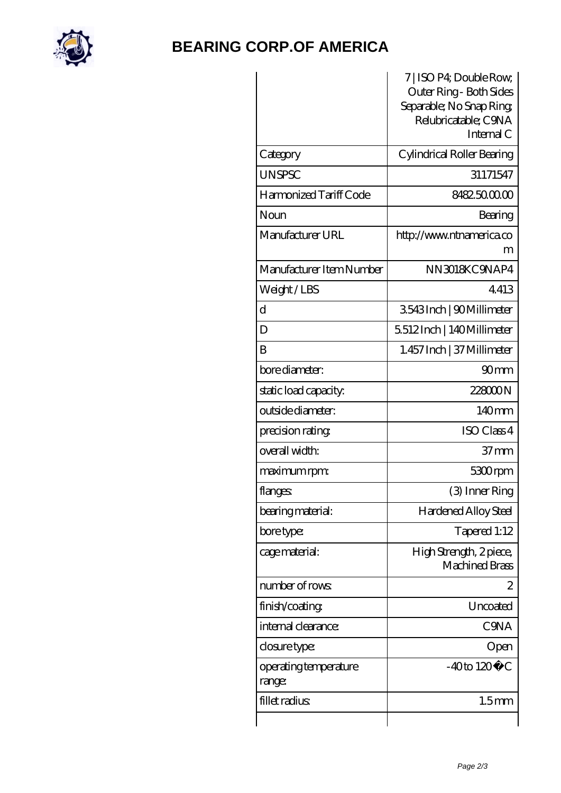

### **[BEARING CORP.OF AMERICA](https://bluemondayreview.com)**

|                                 | 7   ISO P4; Double Row,<br>Outer Ring - Both Sides<br>Separable; No Snap Ring<br>Relubricatable; C9NA<br>Internal C |
|---------------------------------|---------------------------------------------------------------------------------------------------------------------|
| Category                        | Cylindrical Roller Bearing                                                                                          |
| <b>UNSPSC</b>                   | 31171547                                                                                                            |
| Harmonized Tariff Code          | 8482500000                                                                                                          |
| Noun                            | Bearing                                                                                                             |
| Manufacturer URL                | http://www.ntnamerica.co<br>m                                                                                       |
| Manufacturer Item Number        | NN3018KC9NAP4                                                                                                       |
| Weight/LBS                      | 4413                                                                                                                |
| d                               | 3543Inch   90Millimeter                                                                                             |
| D                               | 5512Inch   140Millimeter                                                                                            |
| B                               | 1.457 Inch   37 Millimeter                                                                                          |
| bore diameter:                  | 90 <sub>mm</sub>                                                                                                    |
| static load capacity:           | 22800N                                                                                                              |
| outside diameter:               | 140 <sub>mm</sub>                                                                                                   |
| precision rating                | ISO Class 4                                                                                                         |
| overall width:                  | $37 \text{mm}$                                                                                                      |
| maximum rpm:                    | 5300rpm                                                                                                             |
| flanges:                        | (3) Inner Ring                                                                                                      |
| bearing material:               | Hardened Alloy Steel                                                                                                |
| bore type:                      | Tapered 1:12                                                                                                        |
| cage material:                  | High Strength, 2 piece,<br><b>Machined Brass</b>                                                                    |
| number of rows:                 | 2                                                                                                                   |
| finish/coating                  | Uncoated                                                                                                            |
| internal clearance:             | <b>C</b> SNA                                                                                                        |
| closure type:                   | Open                                                                                                                |
| operating temperature<br>range: | $-40$ to $120^{\circ}$ C                                                                                            |
| fillet radius                   | 1.5 <sub>mm</sub>                                                                                                   |
|                                 |                                                                                                                     |